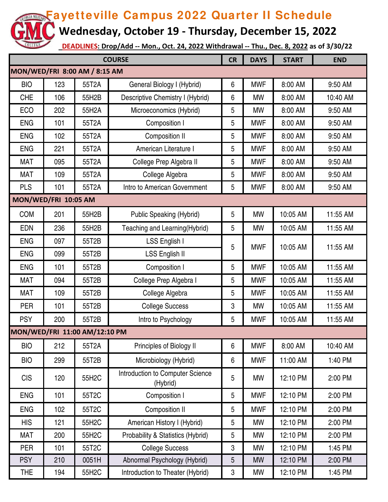**Wednesday, October 19 - Thursday, December 15, 2022**

| <b>COURSE</b>                 |     |                               |                                              |   | <b>DAYS</b> | <b>START</b> | <b>END</b> |  |
|-------------------------------|-----|-------------------------------|----------------------------------------------|---|-------------|--------------|------------|--|
| MON/WED/FRI 8:00 AM / 8:15 AM |     |                               |                                              |   |             |              |            |  |
| <b>BIO</b>                    | 123 | 55T2A                         | General Biology I (Hybrid)                   | 6 | <b>MWF</b>  | 8:00 AM      | 9:50 AM    |  |
| <b>CHE</b>                    | 106 | 55H2B                         | Descriptive Chemistry I (Hybrid)             | 6 | <b>MW</b>   | 8:00 AM      | 10:40 AM   |  |
| <b>ECO</b>                    | 202 | 55H2A                         | Microeconomics (Hybrid)                      | 5 | <b>MW</b>   | 8:00 AM      | 9:50 AM    |  |
| <b>ENG</b>                    | 101 | 55T2A                         | Composition I                                | 5 | <b>MWF</b>  | 8:00 AM      | 9:50 AM    |  |
| <b>ENG</b>                    | 102 | 55T2A                         | <b>Composition II</b>                        | 5 | <b>MWF</b>  | 8:00 AM      | 9:50 AM    |  |
| <b>ENG</b>                    | 221 | 55T2A                         | American Literature I                        | 5 | <b>MWF</b>  | 8:00 AM      | 9:50 AM    |  |
| <b>MAT</b>                    | 095 | 55T2A                         | College Prep Algebra II                      | 5 | <b>MWF</b>  | 8:00 AM      | 9:50 AM    |  |
| <b>MAT</b>                    | 109 | 55T2A                         | College Algebra                              | 5 | <b>MWF</b>  | 8:00 AM      | 9:50 AM    |  |
| <b>PLS</b>                    | 101 | 55T2A                         | Intro to American Government                 | 5 | <b>MWF</b>  | 8:00 AM      | 9:50 AM    |  |
| MON/WED/FRI 10:05 AM          |     |                               |                                              |   |             |              |            |  |
| <b>COM</b>                    | 201 | 55H2B                         | <b>Public Speaking (Hybrid)</b>              | 5 | <b>MW</b>   | 10:05 AM     | 11:55 AM   |  |
| <b>EDN</b>                    | 236 | 55H2B                         | Teaching and Learning(Hybrid)                | 5 | <b>MW</b>   | 10:05 AM     | 11:55 AM   |  |
| <b>ENG</b>                    | 097 | 55T2B                         | LSS English I                                | 5 | <b>MWF</b>  | 10:05 AM     | 11:55 AM   |  |
| <b>ENG</b>                    | 099 | 55T2B                         | <b>LSS English II</b>                        |   |             |              |            |  |
| <b>ENG</b>                    | 101 | 55T2B                         | Composition I                                | 5 | <b>MWF</b>  | 10:05 AM     | 11:55 AM   |  |
| <b>MAT</b>                    | 094 | 55T2B                         | College Prep Algebra I                       | 5 | <b>MWF</b>  | 10:05 AM     | 11:55 AM   |  |
| <b>MAT</b>                    | 109 | 55T2B                         | College Algebra                              | 5 | <b>MWF</b>  | 10:05 AM     | 11:55 AM   |  |
| <b>PER</b>                    | 101 | 55T2B                         | <b>College Success</b>                       | 3 | <b>MW</b>   | 10:05 AM     | 11:55 AM   |  |
| <b>PSY</b>                    | 200 | 55T2B                         | Intro to Psychology                          | 5 | <b>MWF</b>  | 10:05 AM     | 11:55 AM   |  |
|                               |     | MON/WED/FRI 11:00 AM/12:10 PM |                                              |   |             |              |            |  |
| <b>BIO</b>                    | 212 | 55T2A                         | Principles of Biology II                     | 6 | <b>MWF</b>  | 8:00 AM      | 10:40 AM   |  |
| <b>BIO</b>                    | 299 | 55T2B                         | Microbiology (Hybrid)                        | 6 | <b>MWF</b>  | 11:00 AM     | 1:40 PM    |  |
| <b>CIS</b>                    | 120 | 55H2C                         | Introduction to Computer Science<br>(Hybrid) | 5 | <b>MW</b>   | 12:10 PM     | 2:00 PM    |  |
| <b>ENG</b>                    | 101 | 55T2C                         | Composition I                                | 5 | <b>MWF</b>  | 12:10 PM     | 2:00 PM    |  |
| <b>ENG</b>                    | 102 | 55T2C                         | Composition II                               | 5 | <b>MWF</b>  | 12:10 PM     | 2:00 PM    |  |
| <b>HIS</b>                    | 121 | 55H2C                         | American History I (Hybrid)                  | 5 | <b>MW</b>   | 12:10 PM     | 2:00 PM    |  |
| <b>MAT</b>                    | 200 | 55H2C                         | Probability & Statistics (Hybrid)            | 5 | <b>MW</b>   | 12:10 PM     | 2:00 PM    |  |
| <b>PER</b>                    | 101 | 55T2C                         | <b>College Success</b>                       | 3 | MW          | 12:10 PM     | 1:45 PM    |  |
| <b>PSY</b>                    | 210 | 0051H                         | Abnormal Psychology (Hybrid)                 | 5 | <b>MW</b>   | 12:10 PM     | 2:00 PM    |  |
| <b>THE</b>                    | 194 | 55H2C                         | Introduction to Theater (Hybrid)             | 3 | MW          | 12:10 PM     | 1:45 PM    |  |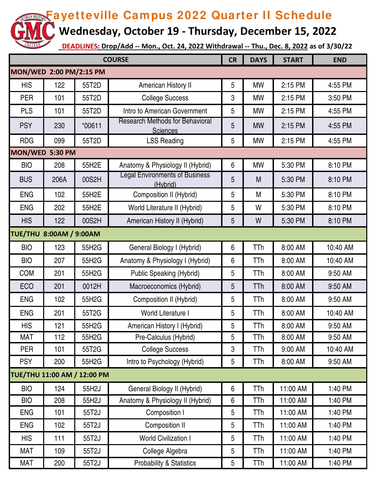**Wednesday, October 19 - Thursday, December 15, 2022**

| <b>COURSE</b>                  |                 |          |                                                           | <b>CR</b>      | <b>DAYS</b> | <b>START</b> | <b>END</b> |  |  |  |
|--------------------------------|-----------------|----------|-----------------------------------------------------------|----------------|-------------|--------------|------------|--|--|--|
| MON/WED 2:00 PM/2:15 PM        |                 |          |                                                           |                |             |              |            |  |  |  |
| <b>HIS</b>                     | 122             | 55T2D    | American History II                                       | 5              | <b>MW</b>   | 2:15 PM      | 4:55 PM    |  |  |  |
| <b>PER</b>                     | 101             | 55T2D    | <b>College Success</b>                                    | 3              | <b>MW</b>   | 2:15 PM      | 3:50 PM    |  |  |  |
| <b>PLS</b>                     | 101             | 55T2D    | Intro to American Government                              | 5              | <b>MW</b>   | 2:15 PM      | 4:55 PM    |  |  |  |
| <b>PSY</b>                     | 230             | $*00611$ | <b>Research Methods for Behavioral</b><br><b>Sciences</b> | 5              | <b>MW</b>   | 2:15 PM      | 4:55 PM    |  |  |  |
| <b>RDG</b>                     | 099             | 55T2D    | <b>LSS Reading</b>                                        | 5              | <b>MW</b>   | 2:15 PM      | 4:55 PM    |  |  |  |
|                                | MON/WED 5:30 PM |          |                                                           |                |             |              |            |  |  |  |
| <b>BIO</b>                     | 208             | 55H2E    | Anatomy & Physiology II (Hybrid)                          | 6              | <b>MW</b>   | 5:30 PM      | 8:10 PM    |  |  |  |
| <b>BUS</b>                     | 206A            | 00S2H    | <b>Legal Environments of Business</b><br>(Hybrid)         | 5              | M           | 5:30 PM      | 8:10 PM    |  |  |  |
| <b>ENG</b>                     | 102             | 55H2E    | Composition II (Hybrid)                                   | 5              | M           | 5:30 PM      | 8:10 PM    |  |  |  |
| <b>ENG</b>                     | 202             | 55H2E    | World Literature II (Hybrid)                              | 5              | W           | 5:30 PM      | 8:10 PM    |  |  |  |
| <b>HIS</b>                     | 122             | 00S2H    | American History II (Hybrid)                              | $5\phantom{.}$ | W           | 5:30 PM      | 8:10 PM    |  |  |  |
| <b>TUE/THU 8:00AM / 9:00AM</b> |                 |          |                                                           |                |             |              |            |  |  |  |
| <b>BIO</b>                     | 123             | 55H2G    | General Biology I (Hybrid)                                | 6              | <b>TTh</b>  | 8:00 AM      | 10:40 AM   |  |  |  |
| <b>BIO</b>                     | 207             | 55H2G    | Anatomy & Physiology I (Hybrid)                           | 6              | TTh         | 8:00 AM      | 10:40 AM   |  |  |  |
| <b>COM</b>                     | 201             | 55H2G    | <b>Public Speaking (Hybrid)</b>                           | 5              | <b>TTh</b>  | 8:00 AM      | 9:50 AM    |  |  |  |
| ECO                            | 201             | 0012H    | Macroeconomics (Hybrid)                                   | 5              | TTh         | 8:00 AM      | 9:50 AM    |  |  |  |
| <b>ENG</b>                     | 102             | 55H2G    | Composition II (Hybrid)                                   | 5              | TTh         | 8:00 AM      | 9:50 AM    |  |  |  |
| <b>ENG</b>                     | 201             | 55T2G    | World Literature I                                        | 5              | TTh         | 8:00 AM      | 10:40 AM   |  |  |  |
| <b>HIS</b>                     | 121             | 55H2G    | American History I (Hybrid)                               | 5              | TTh         | 8:00 AM      | 9:50 AM    |  |  |  |
| <b>MAT</b>                     | 112             | 55H2G    | Pre-Calculus (Hybrid)                                     | 5              | TTh         | 8:00 AM      | 9:50 AM    |  |  |  |
| PER                            | 101             | 55T2G    | <b>College Success</b>                                    | 3              | TTh         | 9:00 AM      | 10:40 AM   |  |  |  |
| <b>PSY</b>                     | 200             | 55H2G    | Intro to Psychology (Hybrid)                              | 5              | <b>TTh</b>  | 8:00 AM      | 9:50 AM    |  |  |  |
| TUE/THU 11:00 AM / 12:00 PM    |                 |          |                                                           |                |             |              |            |  |  |  |
| <b>BIO</b>                     | 124             | 55H2J    | General Biology II (Hybrid)                               | 6              | TTh         | 11:00 AM     | 1:40 PM    |  |  |  |
| <b>BIO</b>                     | 208             | 55H2J    | Anatomy & Physiology II (Hybrid)                          | 6              | TTh         | 11:00 AM     | 1:40 PM    |  |  |  |
| <b>ENG</b>                     | 101             | 55T2J    | Composition I                                             | 5              | TTh         | 11:00 AM     | 1:40 PM    |  |  |  |
| <b>ENG</b>                     | 102             | 55T2J    | Composition II                                            | 5              | TTh         | 11:00 AM     | 1:40 PM    |  |  |  |
| <b>HIS</b>                     | 111             | 55T2J    | <b>World Civilization I</b>                               | 5              | TTh         | 11:00 AM     | 1:40 PM    |  |  |  |
| <b>MAT</b>                     | 109             | 55T2J    | College Algebra                                           | 5              | TTh         | 11:00 AM     | 1:40 PM    |  |  |  |
| MAT                            | 200             | 55T2J    | <b>Probability &amp; Statistics</b>                       | 5              | TTh         | 11:00 AM     | 1:40 PM    |  |  |  |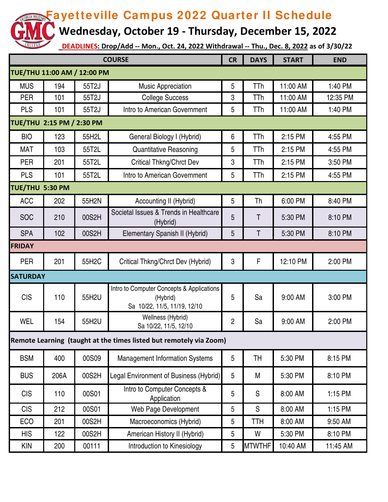**Wednesday, October 19 - Thursday, December 15, 2022**

| <b>COURSE</b>                                                      |      |       |                                                                                       | <b>CR</b>      | <b>DAYS</b>   | <b>START</b> | <b>END</b> |  |  |
|--------------------------------------------------------------------|------|-------|---------------------------------------------------------------------------------------|----------------|---------------|--------------|------------|--|--|
| TUE/THU 11:00 AM / 12:00 PM                                        |      |       |                                                                                       |                |               |              |            |  |  |
| <b>MUS</b>                                                         | 194  | 55T2J | <b>Music Appreciation</b>                                                             | 5              | <b>TTh</b>    | 11:00 AM     | 1:40 PM    |  |  |
| <b>PER</b>                                                         | 101  | 55T2J | <b>College Success</b>                                                                | 3              | TTh           | 11:00 AM     | 12:35 PM   |  |  |
| <b>PLS</b>                                                         | 101  | 55T2J | Intro to American Government                                                          | 5              | TTh           | 11:00 AM     | 1:40 PM    |  |  |
| TUE/THU 2:15 PM / 2:30 PM                                          |      |       |                                                                                       |                |               |              |            |  |  |
| <b>BIO</b>                                                         | 123  | 55H2L | General Biology I (Hybrid)                                                            | 6              | TTh           | 2:15 PM      | 4:55 PM    |  |  |
| <b>MAT</b>                                                         | 103  | 55T2L | <b>Quantitative Reasoning</b>                                                         | 5              | TTh           | 2:15 PM      | 4:55 PM    |  |  |
| <b>PER</b>                                                         | 201  | 55T2L | <b>Critical Thkng/Chrct Dev</b>                                                       | 3              | TTh           | 2:15 PM      | 3:50 PM    |  |  |
| <b>PLS</b>                                                         | 101  | 55T2L | Intro to American Government                                                          | 5              | TTh           | 2:15 PM      | 4:55 PM    |  |  |
| TUE/THU 5:30 PM                                                    |      |       |                                                                                       |                |               |              |            |  |  |
| <b>ACC</b>                                                         | 202  | 55H2N | Accounting II (Hybrid)                                                                | 5              | Th            | 6:00 PM      | 8:40 PM    |  |  |
| <b>SOC</b>                                                         | 210  | 00S2H | Societal Issues & Trends in Healthcare<br>(Hybrid)                                    | 5              | T             | 5:30 PM      | 8:10 PM    |  |  |
| <b>SPA</b>                                                         | 102  | 00S2H | Elementary Spanish II (Hybrid)                                                        | 5              | Τ             | 5:30 PM      | 8:10 PM    |  |  |
| <b>FRIDAY</b>                                                      |      |       |                                                                                       |                |               |              |            |  |  |
| <b>PER</b>                                                         | 201  | 55H2C | Critical Thkng/Chrct Dev (Hybrid)                                                     | 3              | F             | 12:10 PM     | 2:00 PM    |  |  |
| <b>SATURDAY</b>                                                    |      |       |                                                                                       |                |               |              |            |  |  |
| <b>CIS</b>                                                         | 110  | 55H2U | Intro to Computer Concepts & Applications<br>(Hybrid)<br>Sa 10/22, 11/5, 11/19, 12/10 | 5              | Sa            | 9:00 AM      | 3:00 PM    |  |  |
| WEL                                                                | 154  | 55H2U | Wellness (Hybrid)<br>Sa 10/22, 11/5, 12/10                                            | $\overline{2}$ | Sa            | 9:00 AM      | 2:00 PM    |  |  |
| Remote Learning (taught at the times listed but remotely via Zoom) |      |       |                                                                                       |                |               |              |            |  |  |
| <b>BSM</b>                                                         | 400  | 00S09 | <b>Management Information Systems</b>                                                 | 5              | <b>TH</b>     | 5:30 PM      | 8:15 PM    |  |  |
| <b>BUS</b>                                                         | 206A | 00S2H | Legal Environment of Business (Hybrid)                                                | 5              | M             | 5:30 PM      | 8:10 PM    |  |  |
| <b>CIS</b>                                                         | 110  | 00S01 | Intro to Computer Concepts &<br>Application                                           | 5              | S             | 8:00 AM      | 1:15 PM    |  |  |
| <b>CIS</b>                                                         | 212  | 00S01 | Web Page Development                                                                  | 5              | S             | 8:00 AM      | 1:15 PM    |  |  |
| <b>ECO</b>                                                         | 201  | 00S2H | Macroeconomics (Hybrid)                                                               | 5              | <b>TTH</b>    | 8:00 AM      | 9:50 AM    |  |  |
| <b>HIS</b>                                                         | 122  | 00S2H | American History II (Hybrid)                                                          | 5              | W             | 5:30 PM      | 8:10 PM    |  |  |
| <b>KIN</b>                                                         | 200  | 00111 | Introduction to Kinesiology                                                           | 5              | <b>MTWTHF</b> | 10:40 AM     | 11:45 AM   |  |  |